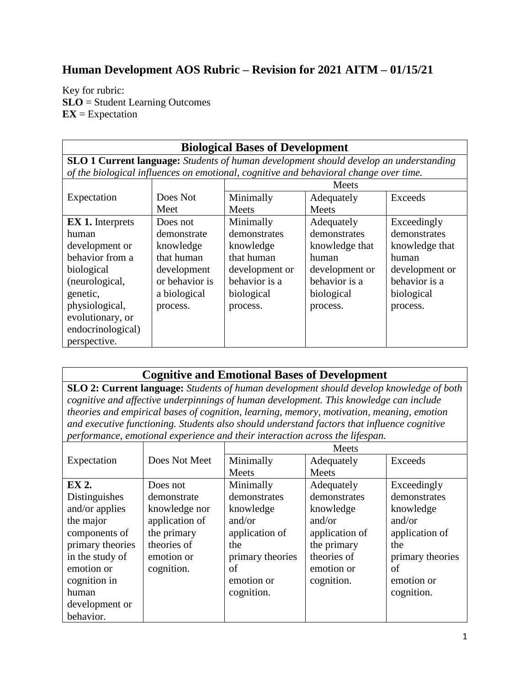## **Human Development AOS Rubric – Revision for 2021 AITM – 01/15/21**

Key for rubric: **SLO** = Student Learning Outcomes **EX** = Expectation

| <b>Biological Bases of Development</b>                                                       |                |                |                |                |
|----------------------------------------------------------------------------------------------|----------------|----------------|----------------|----------------|
| <b>SLO 1 Current language:</b> Students of human development should develop an understanding |                |                |                |                |
| of the biological influences on emotional, cognitive and behavioral change over time.        |                |                |                |                |
|                                                                                              |                | Meets          |                |                |
| Expectation                                                                                  | Does Not       | Minimally      | Adequately     | Exceeds        |
|                                                                                              | Meet           | Meets          | Meets          |                |
| <b>EX 1.</b> Interprets                                                                      | Does not       | Minimally      | Adequately     | Exceedingly    |
| human                                                                                        | demonstrate    | demonstrates   | demonstrates   | demonstrates   |
| development or                                                                               | knowledge      | knowledge      | knowledge that | knowledge that |
| behavior from a                                                                              | that human     | that human     | human          | human          |
| biological                                                                                   | development    | development or | development or | development or |
| (neurological,                                                                               | or behavior is | behavior is a  | behavior is a  | behavior is a  |
| genetic,                                                                                     | a biological   | biological     | biological     | biological     |
| physiological,                                                                               | process.       | process.       | process.       | process.       |
| evolutionary, or                                                                             |                |                |                |                |
| endocrinological)                                                                            |                |                |                |                |
| perspective.                                                                                 |                |                |                |                |

## **Cognitive and Emotional Bases of Development**

**SLO 2: Current language:** *Students of human development should develop knowledge of both cognitive and affective underpinnings of human development. This knowledge can include theories and empirical bases of cognition, learning, memory, motivation, meaning, emotion and executive functioning. Students also should understand factors that influence cognitive performance, emotional experience and their interaction across the lifespan.*

|                  |                | <b>Meets</b>     |                |                  |
|------------------|----------------|------------------|----------------|------------------|
| Expectation      | Does Not Meet  | Minimally        | Adequately     | <b>Exceeds</b>   |
|                  |                | Meets            | Meets          |                  |
| EX 2.            | Does not       | Minimally        | Adequately     | Exceedingly      |
| Distinguishes    | demonstrate    | demonstrates     | demonstrates   | demonstrates     |
| and/or applies   | knowledge nor  | knowledge        | knowledge      | knowledge        |
| the major        | application of | and/or           | and/or         | and/or           |
| components of    | the primary    | application of   | application of | application of   |
| primary theories | theories of    | the              | the primary    | the              |
| in the study of  | emotion or     | primary theories | theories of    | primary theories |
| emotion or       | cognition.     | of               | emotion or     | of               |
| cognition in     |                | emotion or       | cognition.     | emotion or       |
| human            |                | cognition.       |                | cognition.       |
| development or   |                |                  |                |                  |
| behavior.        |                |                  |                |                  |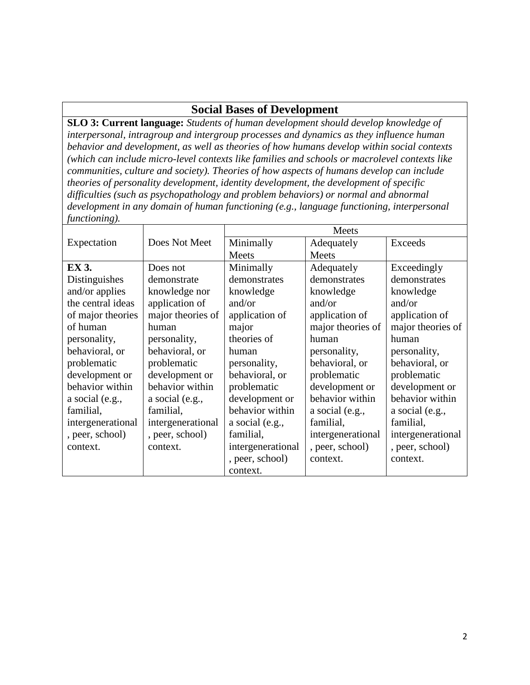## **Social Bases of Development**

**SLO 3: Current language:** *Students of human development should develop knowledge of interpersonal, intragroup and intergroup processes and dynamics as they influence human behavior and development, as well as theories of how humans develop within social contexts (which can include micro-level contexts like families and schools or macrolevel contexts like communities, culture and society). Theories of how aspects of humans develop can include theories of personality development, identity development, the development of specific difficulties (such as psychopathology and problem behaviors) or normal and abnormal development in any domain of human functioning (e.g., language functioning, interpersonal functioning).*

|                   |                   | Meets             |                   |                   |
|-------------------|-------------------|-------------------|-------------------|-------------------|
| Expectation       | Does Not Meet     | Minimally         | Adequately        | <b>Exceeds</b>    |
|                   |                   | Meets             | Meets             |                   |
| <b>EX 3.</b>      | Does not          | Minimally         | Adequately        | Exceedingly       |
| Distinguishes     | demonstrate       | demonstrates      | demonstrates      | demonstrates      |
| and/or applies    | knowledge nor     | knowledge         | knowledge         | knowledge         |
| the central ideas | application of    | and/or            | and/or            | and/or            |
| of major theories | major theories of | application of    | application of    | application of    |
| of human          | human             | major             | major theories of | major theories of |
| personality,      | personality,      | theories of       | human             | human             |
| behavioral, or    | behavioral, or    | human             | personality,      | personality,      |
| problematic       | problematic       | personality,      | behavioral, or    | behavioral, or    |
| development or    | development or    | behavioral, or    | problematic       | problematic       |
| behavior within   | behavior within   | problematic       | development or    | development or    |
| a social (e.g.,   | a social (e.g.,   | development or    | behavior within   | behavior within   |
| familial,         | familial,         | behavior within   | a social (e.g.,   | a social (e.g.,   |
| intergenerational | intergenerational | a social (e.g.,   | familial,         | familial,         |
| , peer, school)   | , peer, school)   | familial,         | intergenerational | intergenerational |
| context.          | context.          | intergenerational | , peer, school)   | , peer, school)   |
|                   |                   | , peer, school)   | context.          | context.          |
|                   |                   | context.          |                   |                   |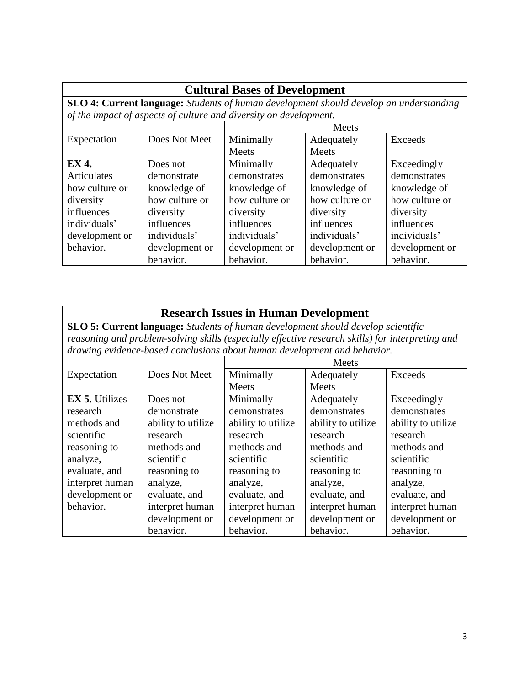| <b>Cultural Bases of Development</b>                                                          |                |                                                                   |                |                |
|-----------------------------------------------------------------------------------------------|----------------|-------------------------------------------------------------------|----------------|----------------|
| <b>SLO 4: Current language:</b> Students of human development should develop an understanding |                |                                                                   |                |                |
|                                                                                               |                | of the impact of aspects of culture and diversity on development. |                |                |
|                                                                                               |                | Meets                                                             |                |                |
| Expectation                                                                                   | Does Not Meet  | Minimally                                                         | Adequately     | Exceeds        |
|                                                                                               |                | <b>Meets</b>                                                      | <b>Meets</b>   |                |
| <b>EX 4.</b>                                                                                  | Does not       | Minimally                                                         | Adequately     | Exceedingly    |
| Articulates                                                                                   | demonstrate    | demonstrates                                                      | demonstrates   | demonstrates   |
| how culture or                                                                                | knowledge of   | knowledge of                                                      | knowledge of   | knowledge of   |
| diversity                                                                                     | how culture or | how culture or                                                    | how culture or | how culture or |
| influences                                                                                    | diversity      | diversity                                                         | diversity      | diversity      |
| individuals'                                                                                  | influences     | influences                                                        | influences     | influences     |
| development or                                                                                | individuals'   | individuals'                                                      | individuals'   | individuals'   |
| behavior.                                                                                     | development or | development or                                                    | development or | development or |
|                                                                                               | behavior.      | behavior.                                                         | behavior.      | behavior.      |

| <b>Research Issues in Human Development</b>                                                      |                    |                                                                          |                    |                    |
|--------------------------------------------------------------------------------------------------|--------------------|--------------------------------------------------------------------------|--------------------|--------------------|
| SLO 5: Current language: Students of human development should develop scientific                 |                    |                                                                          |                    |                    |
| reasoning and problem-solving skills (especially effective research skills) for interpreting and |                    |                                                                          |                    |                    |
|                                                                                                  |                    | drawing evidence-based conclusions about human development and behavior. |                    |                    |
|                                                                                                  |                    | <b>Meets</b>                                                             |                    |                    |
| Expectation                                                                                      | Does Not Meet      | Minimally                                                                | Adequately         | <b>Exceeds</b>     |
|                                                                                                  |                    | <b>Meets</b>                                                             | Meets              |                    |
| <b>EX 5.</b> Utilizes                                                                            | Does not           | Minimally                                                                | Adequately         | Exceedingly        |
| research                                                                                         | demonstrate        | demonstrates                                                             | demonstrates       | demonstrates       |
| methods and                                                                                      | ability to utilize | ability to utilize                                                       | ability to utilize | ability to utilize |
| scientific                                                                                       | research           | research                                                                 | research           | research           |
| reasoning to                                                                                     | methods and        | methods and                                                              | methods and        | methods and        |
| analyze,                                                                                         | scientific         | scientific                                                               | scientific         | scientific         |
| evaluate, and                                                                                    | reasoning to       | reasoning to                                                             | reasoning to       | reasoning to       |
| interpret human                                                                                  | analyze,           | analyze,                                                                 | analyze,           | analyze,           |
| development or                                                                                   | evaluate, and      | evaluate, and                                                            | evaluate, and      | evaluate, and      |
| behavior.                                                                                        | interpret human    | interpret human                                                          | interpret human    | interpret human    |
|                                                                                                  | development or     | development or                                                           | development or     | development or     |
|                                                                                                  | behavior.          | behavior.                                                                | behavior.          | behavior.          |